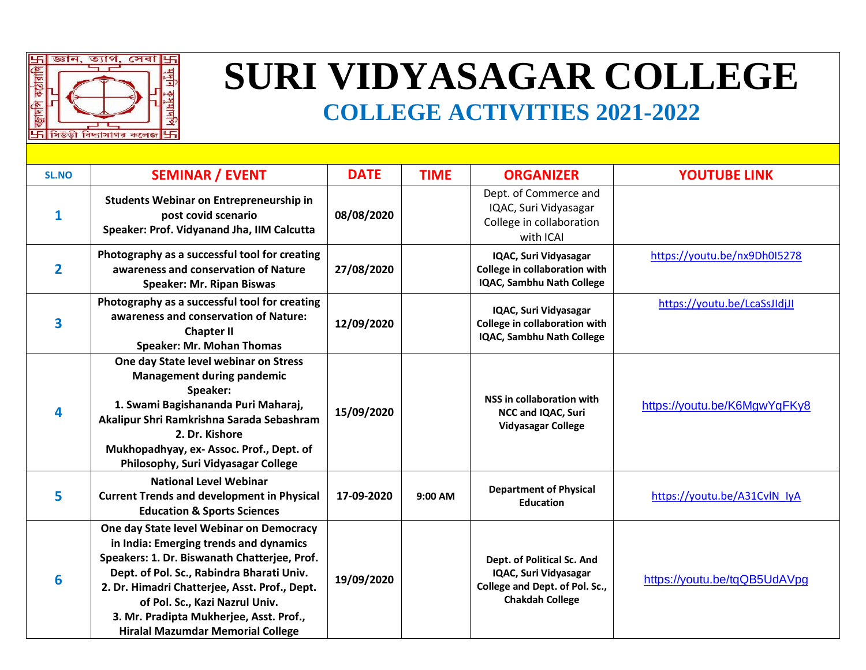

## **SURI VIDYASAGAR COLLEGE**

## **COLLEGE ACTIVITIES 2021-2022**

| <b>SL.NO</b> | <b>SEMINAR / EVENT</b>                                                                                                                                                                                                                                                                                                                                    | <b>DATE</b> | <b>TIME</b> | <b>ORGANIZER</b>                                                                                                | <b>YOUTUBE LINK</b>          |
|--------------|-----------------------------------------------------------------------------------------------------------------------------------------------------------------------------------------------------------------------------------------------------------------------------------------------------------------------------------------------------------|-------------|-------------|-----------------------------------------------------------------------------------------------------------------|------------------------------|
| 1            | Students Webinar on Entrepreneurship in<br>post covid scenario<br>Speaker: Prof. Vidyanand Jha, IIM Calcutta                                                                                                                                                                                                                                              | 08/08/2020  |             | Dept. of Commerce and<br>IQAC, Suri Vidyasagar<br>College in collaboration<br>with ICAI                         |                              |
| 2            | Photography as a successful tool for creating<br>awareness and conservation of Nature<br><b>Speaker: Mr. Ripan Biswas</b>                                                                                                                                                                                                                                 | 27/08/2020  |             | IQAC, Suri Vidyasagar<br>College in collaboration with<br>IQAC, Sambhu Nath College                             | https://youtu.be/nx9Dh0I5278 |
| 3            | Photography as a successful tool for creating<br>awareness and conservation of Nature:<br><b>Chapter II</b><br><b>Speaker: Mr. Mohan Thomas</b>                                                                                                                                                                                                           | 12/09/2020  |             | IQAC, Suri Vidyasagar<br>College in collaboration with<br>IQAC, Sambhu Nath College                             | https://youtu.be/LcaSsJIdjJI |
|              | One day State level webinar on Stress<br><b>Management during pandemic</b><br>Speaker:<br>1. Swami Bagishananda Puri Maharaj,<br>Akalipur Shri Ramkrishna Sarada Sebashram<br>2. Dr. Kishore<br>Mukhopadhyay, ex- Assoc. Prof., Dept. of<br>Philosophy, Suri Vidyasagar College                                                                           | 15/09/2020  |             | NSS in collaboration with<br>NCC and IQAC, Suri<br><b>Vidyasagar College</b>                                    | https://youtu.be/K6MgwYqFKy8 |
| 5            | <b>National Level Webinar</b><br><b>Current Trends and development in Physical</b><br><b>Education &amp; Sports Sciences</b>                                                                                                                                                                                                                              | 17-09-2020  | 9:00 AM     | <b>Department of Physical</b><br><b>Education</b>                                                               | https://youtu.be/A31CvlN lyA |
| 6            | One day State level Webinar on Democracy<br>in India: Emerging trends and dynamics<br>Speakers: 1. Dr. Biswanath Chatterjee, Prof.<br>Dept. of Pol. Sc., Rabindra Bharati Univ.<br>2. Dr. Himadri Chatterjee, Asst. Prof., Dept.<br>of Pol. Sc., Kazi Nazrul Univ.<br>3. Mr. Pradipta Mukherjee, Asst. Prof.,<br><b>Hiralal Mazumdar Memorial College</b> | 19/09/2020  |             | Dept. of Political Sc. And<br>IQAC, Suri Vidyasagar<br>College and Dept. of Pol. Sc.,<br><b>Chakdah College</b> | https://youtu.be/tqQB5UdAVpg |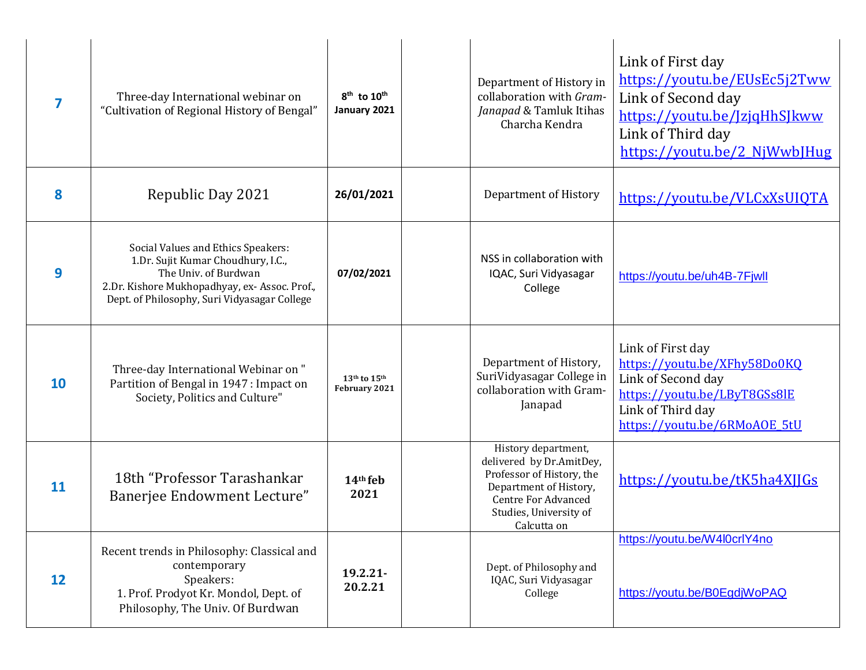|           | Three-day International webinar on<br>"Cultivation of Regional History of Bengal"                                                                                                                 | 8 <sup>th</sup> to 10 <sup>th</sup><br>January 2021 | Department of History in<br>collaboration with Gram-<br>Janapad & Tamluk Itihas<br>Charcha Kendra                                                                             | Link of First day<br>https://youtu.be/EUsEc5j2Tww<br>Link of Second day<br>https://youtu.be/JzjqHhSJkww<br>Link of Third day<br>https://youtu.be/2_NjWwbJHug |
|-----------|---------------------------------------------------------------------------------------------------------------------------------------------------------------------------------------------------|-----------------------------------------------------|-------------------------------------------------------------------------------------------------------------------------------------------------------------------------------|--------------------------------------------------------------------------------------------------------------------------------------------------------------|
| 8         | Republic Day 2021                                                                                                                                                                                 | 26/01/2021                                          | Department of History                                                                                                                                                         | https://voutu.be/VLCxXsUIQTA                                                                                                                                 |
| 9         | Social Values and Ethics Speakers:<br>1.Dr. Sujit Kumar Choudhury, I.C.,<br>The Univ. of Burdwan<br>2.Dr. Kishore Mukhopadhyay, ex- Assoc. Prof.,<br>Dept. of Philosophy, Suri Vidyasagar College | 07/02/2021                                          | NSS in collaboration with<br>IQAC, Suri Vidyasagar<br>College                                                                                                                 | https://youtu.be/uh4B-7Fjwll                                                                                                                                 |
| <b>10</b> | Three-day International Webinar on "<br>Partition of Bengal in 1947 : Impact on<br>Society, Politics and Culture"                                                                                 | $13th$ to $15th$<br>February 2021                   | Department of History,<br>SuriVidyasagar College in<br>collaboration with Gram-<br>Janapad                                                                                    | Link of First day<br>https://youtu.be/XFhy58Do0KQ<br>Link of Second day<br>https://youtu.be/LByT8GSs8lE<br>Link of Third day<br>https://youtu.be/6RMoAOE 5tU |
| 11        | 18th "Professor Tarashankar<br>Banerjee Endowment Lecture"                                                                                                                                        | 14th feb<br>2021                                    | History department,<br>delivered by Dr.AmitDey,<br>Professor of History, the<br>Department of History,<br><b>Centre For Advanced</b><br>Studies, University of<br>Calcutta on | https://youtu.be/tK5ha4XJJGs                                                                                                                                 |
| 12        | Recent trends in Philosophy: Classical and<br>contemporary<br>Speakers:<br>1. Prof. Prodyot Kr. Mondol, Dept. of<br>Philosophy, The Univ. Of Burdwan                                              | $19.2.21 -$<br>20.2.21                              | Dept. of Philosophy and<br>IQAC, Suri Vidyasagar<br>College                                                                                                                   | https://youtu.be/W4l0crlY4no<br>https://youtu.be/B0EgdjWoPAQ                                                                                                 |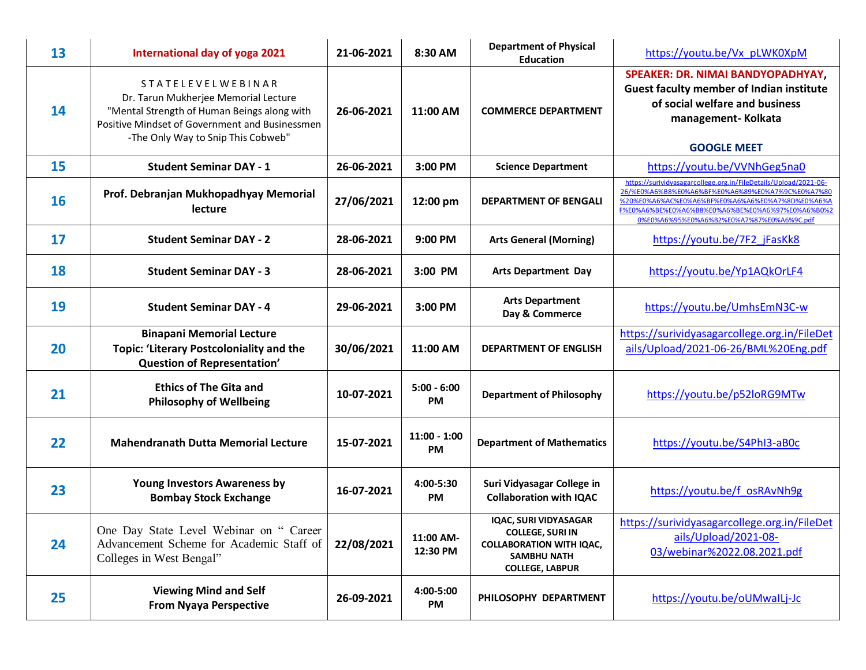| 13        | International day of yoga 2021                                                                                                                                                                          | 21-06-2021 | 8:30 AM                    | <b>Department of Physical</b><br><b>Education</b>                                                                                          | https://youtu.be/Vx pLWK0XpM                                                                                                                                                                                                                                             |
|-----------|---------------------------------------------------------------------------------------------------------------------------------------------------------------------------------------------------------|------------|----------------------------|--------------------------------------------------------------------------------------------------------------------------------------------|--------------------------------------------------------------------------------------------------------------------------------------------------------------------------------------------------------------------------------------------------------------------------|
| 14        | <b>STATELEVELWEBINAR</b><br>Dr. Tarun Mukherjee Memorial Lecture<br>"Mental Strength of Human Beings along with<br>Positive Mindset of Government and Businessmen<br>-The Only Way to Snip This Cobweb" | 26-06-2021 | 11:00 AM                   | <b>COMMERCE DEPARTMENT</b>                                                                                                                 | SPEAKER: DR. NIMAI BANDYOPADHYAY,<br><b>Guest faculty member of Indian institute</b><br>of social welfare and business<br>management-Kolkata<br><b>GOOGLE MEET</b>                                                                                                       |
| 15        | <b>Student Seminar DAY - 1</b>                                                                                                                                                                          | 26-06-2021 | 3:00 PM                    | <b>Science Department</b>                                                                                                                  | https://youtu.be/VVNhGeg5na0                                                                                                                                                                                                                                             |
| <b>16</b> | Prof. Debranjan Mukhopadhyay Memorial<br>lecture                                                                                                                                                        | 27/06/2021 | 12:00 pm                   | <b>DEPARTMENT OF BENGALI</b>                                                                                                               | https://surividyasagarcollege.org.in/FileDetails/Upload/2021-06-<br>26/%E0%A6%B8%E0%A6%BF%E0%A6%89%E0%A7%9C%E0%A7%80<br>%20%E0%A6%AC%E0%A6%BF%E0%A6%A6%E0%A7%8D%E0%A6%A<br>F%E0%A6%BE%E0%A6%B8%E0%A6%BE%E0%A6%97%E0%A6%B0%2<br>0%E0%A6%95%E0%A6%B2%E0%A7%87%E0%A6%9C.pdf |
| 17        | <b>Student Seminar DAY - 2</b>                                                                                                                                                                          | 28-06-2021 | 9:00 PM                    | <b>Arts General (Morning)</b>                                                                                                              | https://youtu.be/7F2 jFasKk8                                                                                                                                                                                                                                             |
| 18        | <b>Student Seminar DAY - 3</b>                                                                                                                                                                          | 28-06-2021 | 3:00 PM                    | <b>Arts Department Day</b>                                                                                                                 | https://youtu.be/Yp1AQkOrLF4                                                                                                                                                                                                                                             |
| 19        | <b>Student Seminar DAY - 4</b>                                                                                                                                                                          | 29-06-2021 | 3:00 PM                    | <b>Arts Department</b><br>Day & Commerce                                                                                                   | https://youtu.be/UmhsEmN3C-w                                                                                                                                                                                                                                             |
| 20        | <b>Binapani Memorial Lecture</b><br><b>Topic: 'Literary Postcoloniality and the</b><br>Question of Representation'                                                                                      | 30/06/2021 | 11:00 AM                   | <b>DEPARTMENT OF ENGLISH</b>                                                                                                               | https://surividyasagarcollege.org.in/FileDet<br>ails/Upload/2021-06-26/BML%20Eng.pdf                                                                                                                                                                                     |
| 21        | <b>Ethics of The Gita and</b><br><b>Philosophy of Wellbeing</b>                                                                                                                                         | 10-07-2021 | $5:00 - 6:00$<br><b>PM</b> | <b>Department of Philosophy</b>                                                                                                            | https://youtu.be/p52loRG9MTw                                                                                                                                                                                                                                             |
| 22        | <b>Mahendranath Dutta Memorial Lecture</b>                                                                                                                                                              | 15-07-2021 | $11:00 - 1:00$<br>PM       | <b>Department of Mathematics</b>                                                                                                           | https://youtu.be/S4PhI3-aB0c                                                                                                                                                                                                                                             |
| 23        | <b>Young Investors Awareness by</b><br><b>Bombay Stock Exchange</b>                                                                                                                                     | 16-07-2021 | 4:00-5:30<br>PM            | Suri Vidyasagar College in<br><b>Collaboration with IQAC</b>                                                                               | https://youtu.be/f osRAvNh9g                                                                                                                                                                                                                                             |
| 24        | One Day State Level Webinar on " Career<br>Advancement Scheme for Academic Staff of<br>Colleges in West Bengal"                                                                                         | 22/08/2021 | 11:00 AM-<br>12:30 PM      | <b>IQAC, SURI VIDYASAGAR</b><br><b>COLLEGE, SURI IN</b><br><b>COLLABORATION WITH IQAC,</b><br><b>SAMBHU NATH</b><br><b>COLLEGE, LABPUR</b> | https://surividyasagarcollege.org.in/FileDet<br>ails/Upload/2021-08-<br>03/webinar%2022.08.2021.pdf                                                                                                                                                                      |
| 25        | <b>Viewing Mind and Self</b><br><b>From Nyaya Perspective</b>                                                                                                                                           | 26-09-2021 | 4:00-5:00<br>PM            | PHILOSOPHY DEPARTMENT                                                                                                                      | https://youtu.be/oUMwalLj-Jc                                                                                                                                                                                                                                             |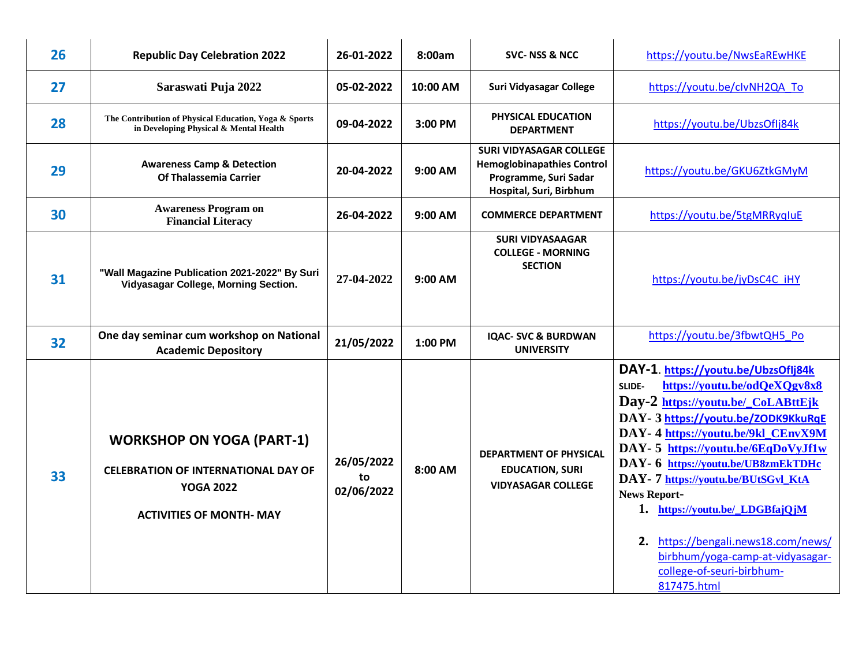| 26 | <b>Republic Day Celebration 2022</b>                                                                                                  | 26-01-2022                     | 8:00am    | <b>SVC-NSS &amp; NCC</b>                                                                                                | https://youtu.be/NwsEaREwHKE                                                                                                                                                                                                                                                                                                                                                                                                                                                                         |
|----|---------------------------------------------------------------------------------------------------------------------------------------|--------------------------------|-----------|-------------------------------------------------------------------------------------------------------------------------|------------------------------------------------------------------------------------------------------------------------------------------------------------------------------------------------------------------------------------------------------------------------------------------------------------------------------------------------------------------------------------------------------------------------------------------------------------------------------------------------------|
| 27 | Saraswati Puja 2022                                                                                                                   | 05-02-2022                     | 10:00 AM  | Suri Vidyasagar College                                                                                                 | https://youtu.be/clvNH2QA To                                                                                                                                                                                                                                                                                                                                                                                                                                                                         |
| 28 | The Contribution of Physical Education, Yoga & Sports<br>in Developing Physical & Mental Health                                       | 09-04-2022                     | 3:00 PM   | PHYSICAL EDUCATION<br><b>DEPARTMENT</b>                                                                                 | https://youtu.be/UbzsOfIj84k                                                                                                                                                                                                                                                                                                                                                                                                                                                                         |
| 29 | <b>Awareness Camp &amp; Detection</b><br>Of Thalassemia Carrier                                                                       | 20-04-2022                     | $9:00$ AM | <b>SURI VIDYASAGAR COLLEGE</b><br><b>Hemoglobinapathies Control</b><br>Programme, Suri Sadar<br>Hospital, Suri, Birbhum | https://youtu.be/GKU6ZtkGMyM                                                                                                                                                                                                                                                                                                                                                                                                                                                                         |
| 30 | <b>Awareness Program on</b><br><b>Financial Literacy</b>                                                                              | 26-04-2022                     | 9:00 AM   | <b>COMMERCE DEPARTMENT</b>                                                                                              | https://youtu.be/5tgMRRyqIuE                                                                                                                                                                                                                                                                                                                                                                                                                                                                         |
| 31 | "Wall Magazine Publication 2021-2022" By Suri<br>Vidyasagar College, Morning Section.                                                 | 27-04-2022                     | $9:00$ AM | <b>SURI VIDYASAAGAR</b><br><b>COLLEGE - MORNING</b><br><b>SECTION</b>                                                   | https://youtu.be/jyDsC4C iHY                                                                                                                                                                                                                                                                                                                                                                                                                                                                         |
| 32 | One day seminar cum workshop on National<br><b>Academic Depository</b>                                                                | 21/05/2022                     | 1:00 PM   | <b>IQAC- SVC &amp; BURDWAN</b><br><b>UNIVERSITY</b>                                                                     | https://youtu.be/3fbwtQH5 Po                                                                                                                                                                                                                                                                                                                                                                                                                                                                         |
| 33 | <b>WORKSHOP ON YOGA (PART-1)</b><br><b>CELEBRATION OF INTERNATIONAL DAY OF</b><br><b>YOGA 2022</b><br><b>ACTIVITIES OF MONTH- MAY</b> | 26/05/2022<br>to<br>02/06/2022 | 8:00 AM   | DEPARTMENT OF PHYSICAL<br><b>EDUCATION, SURI</b><br><b>VIDYASAGAR COLLEGE</b>                                           | DAY-1. https://youtu.be/UbzsOfIj84k<br>https://youtu.be/odQeXQgv8x8<br>SLIDE-<br>Day-2 https://youtu.be/_CoLABttEjk<br>DAY-3 https://youtu.be/ZODK9KkuRqE<br>DAY-4 https://youtu.be/9kl CEnvX9M<br>DAY-5 https://youtu.be/6EqDoVyJf1w<br>DAY- 6 https://youtu.be/UB8zmEkTDHc<br>DAY- 7 https://youtu.be/BUtSGvl_KtA<br><b>News Report-</b><br>1. https://youtu.be/_LDGBfajQjM<br>2. https://bengali.news18.com/news/<br>birbhum/yoga-camp-at-vidyasagar-<br>college-of-seuri-birbhum-<br>817475.html |